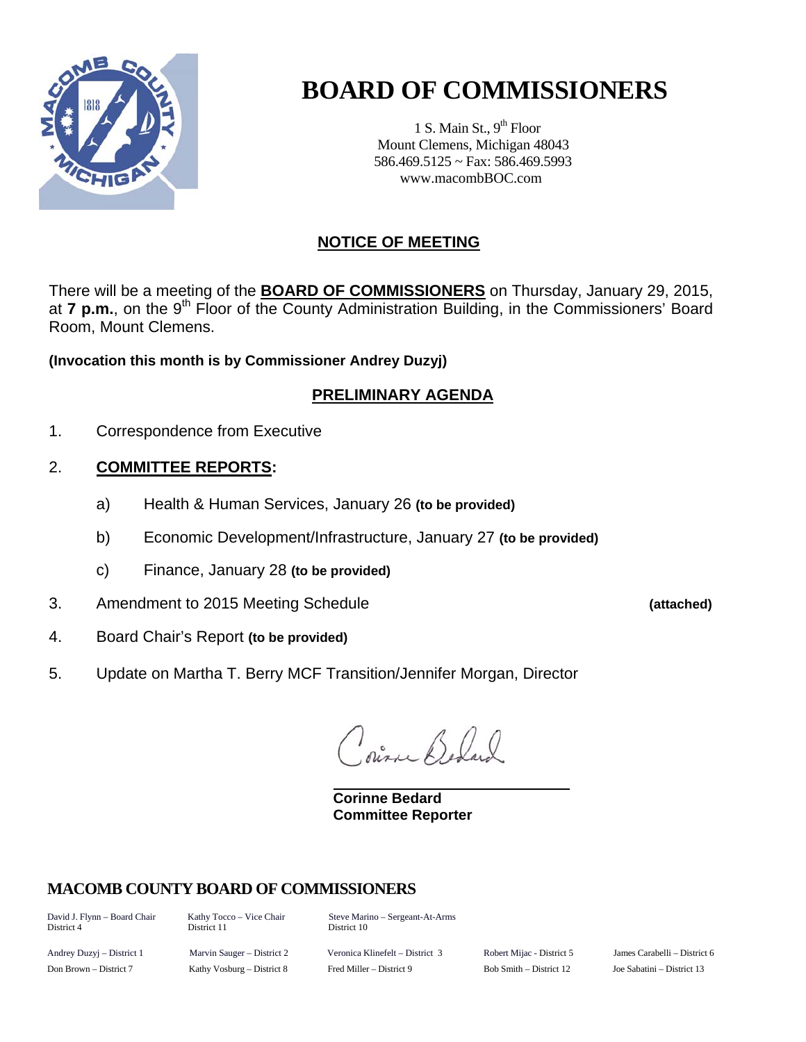

# **BOARD OF COMMISSIONERS**

1 S. Main St.,  $9<sup>th</sup>$  Floor Mount Clemens, Michigan 48043 586.469.5125 ~ Fax: 586.469.5993 www.macombBOC.com

## **NOTICE OF MEETING**

There will be a meeting of the **BOARD OF COMMISSIONERS** on Thursday, January 29, 2015, at **7 p.m.**, on the 9<sup>th</sup> Floor of the County Administration Building, in the Commissioners' Board Room, Mount Clemens.

**(Invocation this month is by Commissioner Andrey Duzyj)** 

## **PRELIMINARY AGENDA**

1. Correspondence from Executive

### 2. **COMMITTEE REPORTS:**

- a) Health & Human Services, January 26 **(to be provided)**
- b) Economic Development/Infrastructure, January 27 **(to be provided)**
- c) Finance, January 28 **(to be provided)**
- 3. Amendment to 2015 Meeting Schedule **(attached)**
- 4. Board Chair's Report **(to be provided)**
- 5. Update on Martha T. Berry MCF Transition/Jennifer Morgan, Director

 $\mathbb{R}$ ,  $\mathbb{R}$ 

 **Corinne Bedard Committee Reporter** 

## **MACOMB COUNTY BOARD OF COMMISSIONERS**

District 4 District 11 District 10

David J. Flynn – Board Chair Kathy Tocco – Vice Chair Steve Marino – Sergeant-At-Arms

Andrey Duzyj – District 1 Marvin Sauger – District 2 Veronica Klinefelt – District 3 Robert Mijac - District 5 James Carabelli – District 6 Don Brown – District 7 Kathy Vosburg – District 8 Fred Miller – District 9 Bob Smith – District 12 Joe Sabatini – District 13